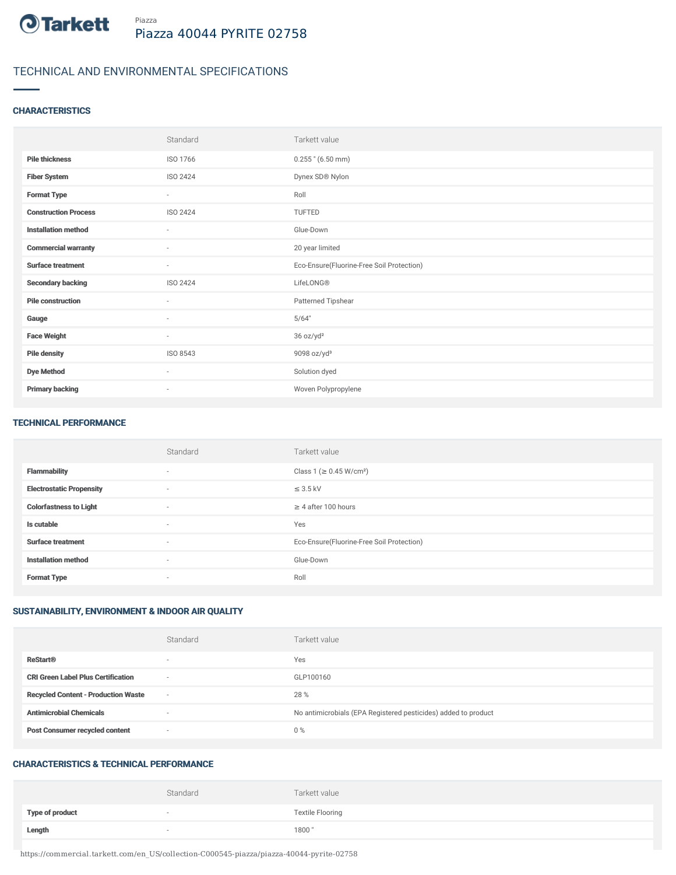

# TECHNICAL AND ENVIRONMENTAL SPECIFICATIONS

## **CHARACTERISTICS**

|                             | Standard                 | Tarkett value                             |
|-----------------------------|--------------------------|-------------------------------------------|
| <b>Pile thickness</b>       | ISO 1766                 | $0.255$ " (6.50 mm)                       |
| <b>Fiber System</b>         | ISO 2424                 | Dynex SD® Nylon                           |
| <b>Format Type</b>          | $\sim$                   | Roll                                      |
| <b>Construction Process</b> | ISO 2424                 | TUFTED                                    |
| <b>Installation method</b>  | $\sim$                   | Glue-Down                                 |
| <b>Commercial warranty</b>  | $\sim$                   | 20 year limited                           |
| <b>Surface treatment</b>    | $\sim$                   | Eco-Ensure(Fluorine-Free Soil Protection) |
| <b>Secondary backing</b>    | ISO 2424                 | LifeLONG®                                 |
| <b>Pile construction</b>    | $\sim$                   | Patterned Tipshear                        |
| Gauge                       | $\overline{\phantom{a}}$ | 5/64"                                     |
| <b>Face Weight</b>          | $\sim$                   | 36 oz/yd <sup>2</sup>                     |
| <b>Pile density</b>         | ISO 8543                 | 9098 oz/yd <sup>3</sup>                   |
| <b>Dye Method</b>           | $\sim$                   | Solution dyed                             |
| <b>Primary backing</b>      | $\overline{\phantom{a}}$ | Woven Polypropylene                       |

#### TECHNICAL PERFORMANCE

|                                 | Standard                 | Tarkett value                             |
|---------------------------------|--------------------------|-------------------------------------------|
| <b>Flammability</b>             | $\sim$                   | Class 1 ( $\geq$ 0.45 W/cm <sup>2</sup> ) |
| <b>Electrostatic Propensity</b> | $\overline{\phantom{a}}$ | $\leq$ 3.5 kV                             |
| <b>Colorfastness to Light</b>   | $\sim$                   | $\geq$ 4 after 100 hours                  |
| Is cutable                      | $\sim$                   | Yes                                       |
| <b>Surface treatment</b>        | $\sim$                   | Eco-Ensure(Fluorine-Free Soil Protection) |
| <b>Installation method</b>      | $\sim$                   | Glue-Down                                 |
| <b>Format Type</b>              | $\sim$                   | Roll                                      |

## SUSTAINABILITY, ENVIRONMENT & INDOOR AIR QUALITY

|                                            | Standard                 | Tarkett value                                                  |
|--------------------------------------------|--------------------------|----------------------------------------------------------------|
| <b>ReStart®</b>                            | $\overline{\phantom{a}}$ | Yes                                                            |
| <b>CRI Green Label Plus Certification</b>  | $\overline{\phantom{a}}$ | GLP100160                                                      |
| <b>Recycled Content - Production Waste</b> | $\overline{\phantom{a}}$ | 28 %                                                           |
| <b>Antimicrobial Chemicals</b>             | <b>1999</b>              | No antimicrobials (EPA Registered pesticides) added to product |
| <b>Post Consumer recycled content</b>      | $\overline{\phantom{a}}$ | $0\%$                                                          |

#### CHARACTERISTICS & TECHNICAL PERFORMANCE

|                        | Standard | Tarkett value           |
|------------------------|----------|-------------------------|
| <b>Type of product</b> |          | <b>Textile Flooring</b> |
| Length                 |          | 1800"                   |

https://commercial.tarkett.com/en\_US/collection-C000545-piazza/piazza-40044-pyrite-02758